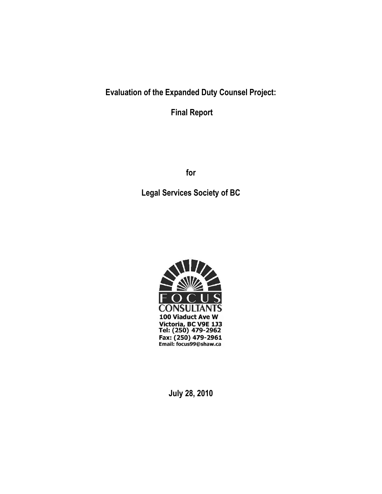# **Evaluation of the Expanded Duty Counsel Project:**

**Final Report**

**for**

**Legal Services Society of BC**



**July 28, 2010**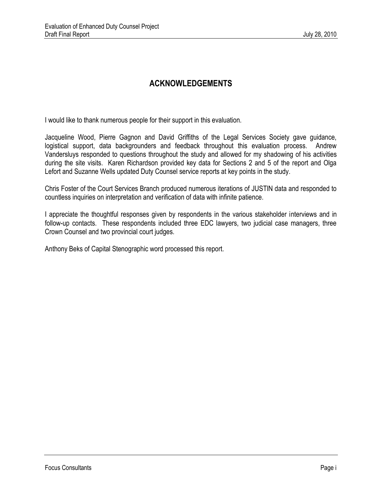## **ACKNOWLEDGEMENTS**

I would like to thank numerous people for their support in this evaluation.

Jacqueline Wood, Pierre Gagnon and David Griffiths of the Legal Services Society gave guidance, logistical support, data backgrounders and feedback throughout this evaluation process. Andrew Vandersluys responded to questions throughout the study and allowed for my shadowing of his activities during the site visits. Karen Richardson provided key data for Sections 2 and 5 of the report and Olga Lefort and Suzanne Wells updated Duty Counsel service reports at key points in the study.

Chris Foster of the Court Services Branch produced numerous iterations of JUSTIN data and responded to countless inquiries on interpretation and verification of data with infinite patience.

I appreciate the thoughtful responses given by respondents in the various stakeholder interviews and in follow-up contacts. These respondents included three EDC lawyers, two judicial case managers, three Crown Counsel and two provincial court judges.

Anthony Beks of Capital Stenographic word processed this report.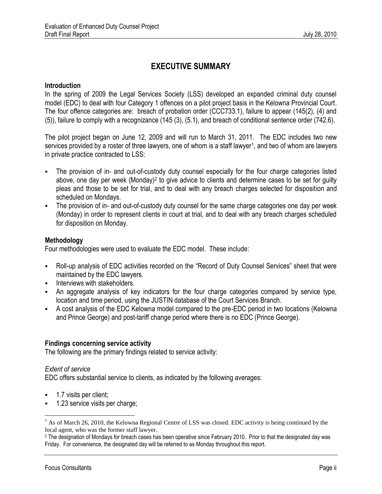## **EXECUTIVE SUMMARY**

#### **Introduction**

In the spring of 2009 the Legal Services Society (LSS) developed an expanded criminal duty counsel model (EDC) to deal with four Category 1 offences on a pilot project basis in the Kelowna Provincial Court. The four offence categories are: breach of probation order (CCC733.1), failure to appear (145(2), (4) and (5)), failure to comply with a recognizance (145 (3), (5.1), and breach of conditional sentence order (742.6).

The pilot project began on June 12, 2009 and will run to March 31, 2011. The EDC includes two new services provided by a roster of three lawyers, one of whom is a staff lawyer<sup>1</sup>, and two of whom are lawyers in private practice contracted to LSS:

- The provision of in- and out-of-custody duty counsel especially for the four charge categories listed above, one day per week (Monday)<sup>2</sup> to give advice to clients and determine cases to be set for guilty pleas and those to be set for trial, and to deal with any breach charges selected for disposition and scheduled on Mondays.
- The provision of in- and out-of-custody duty counsel for the same charge categories one day per week (Monday) in order to represent clients in court at trial, and to deal with any breach charges scheduled for disposition on Monday.

#### **Methodology**

Four methodologies were used to evaluate the EDC model. These include:

- Roll-up analysis of EDC activities recorded on the "Record of Duty Counsel Services" sheet that were maintained by the EDC lawyers.
- Interviews with stakeholders.
- An aggregate analysis of key indicators for the four charge categories compared by service type, location and time period, using the JUSTIN database of the Court Services Branch.
- A cost analysis of the EDC Kelowna model compared to the pre-EDC period in two locations (Kelowna and Prince George) and post-tariff change period where there is no EDC (Prince George).

## **Findings concerning service activity**

The following are the primary findings related to service activity:

#### *Extent of service*

 $\overline{a}$ 

EDC offers substantial service to clients, as indicated by the following averages:

- 1.7 visits per client;
- 1.23 service visits per charge;

<sup>&</sup>lt;sup>1</sup> As of March 26, 2010, the Kelowna Regional Centre of LSS was closed. EDC activity is being continued by the local agent, who was the former staff lawyer.

<sup>2</sup> The designation of Mondays for breach cases has been operative since February 2010. Prior to that the designated day was Friday. For convenience, the designated day will be referred to as Monday throughout this report.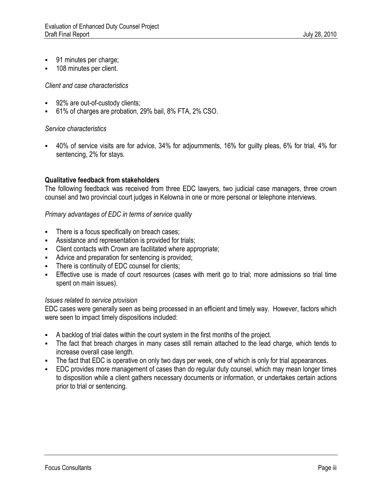- 91 minutes per charge;
- 108 minutes per client.

#### *Client and case characteristics*

- **92%** are out-of-custody clients;
- 61% of charges are probation, 29% bail, 8% FTA, 2% CSO.

#### *Service characteristics*

 40% of service visits are for advice, 34% for adjournments, 16% for guilty pleas, 6% for trial, 4% for sentencing, 2% for stays.

#### **Qualitative feedback from stakeholders**

The following feedback was received from three EDC lawyers, two judicial case managers, three crown counsel and two provincial court judges in Kelowna in one or more personal or telephone interviews.

#### *Primary advantages of EDC in terms of service quality*

- There is a focus specifically on breach cases;
- Assistance and representation is provided for trials;
- Client contacts with Crown are facilitated where appropriate;
- Advice and preparation for sentencing is provided;
- **There is continuity of EDC counsel for clients;**
- Effective use is made of court resources (cases with merit go to trial; more admissions so trial time spent on main issues).

#### *Issues related to service provision*

EDC cases were generally seen as being processed in an efficient and timely way. However, factors which were seen to impact timely dispositions included:

- A backlog of trial dates within the court system in the first months of the project.
- The fact that breach charges in many cases still remain attached to the lead charge, which tends to increase overall case length.
- The fact that EDC is operative on only two days per week, one of which is only for trial appearances.
- EDC provides more management of cases than do regular duty counsel, which may mean longer times to disposition while a client gathers necessary documents or information, or undertakes certain actions prior to trial or sentencing.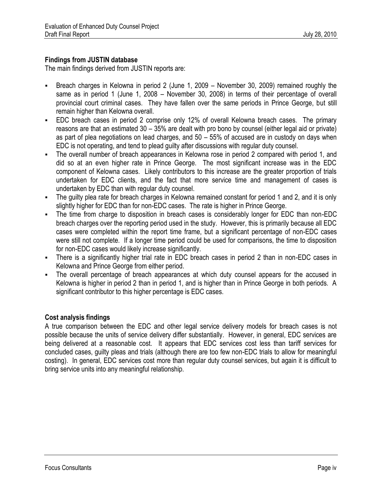## **Findings from JUSTIN database**

The main findings derived from JUSTIN reports are:

- Breach charges in Kelowna in period 2 (June 1, 2009 November 30, 2009) remained roughly the same as in period 1 (June 1, 2008 – November 30, 2008) in terms of their percentage of overall provincial court criminal cases. They have fallen over the same periods in Prince George, but still remain higher than Kelowna overall.
- EDC breach cases in period 2 comprise only 12% of overall Kelowna breach cases. The primary reasons are that an estimated 30 – 35% are dealt with pro bono by counsel (either legal aid or private) as part of plea negotiations on lead charges, and 50 – 55% of accused are in custody on days when EDC is not operating, and tend to plead guilty after discussions with regular duty counsel.
- The overall number of breach appearances in Kelowna rose in period 2 compared with period 1, and did so at an even higher rate in Prince George. The most significant increase was in the EDC component of Kelowna cases. Likely contributors to this increase are the greater proportion of trials undertaken for EDC clients, and the fact that more service time and management of cases is undertaken by EDC than with regular duty counsel.
- The guilty plea rate for breach charges in Kelowna remained constant for period 1 and 2, and it is only slightly higher for EDC than for non-EDC cases. The rate is higher in Prince George.
- The time from charge to disposition in breach cases is considerably longer for EDC than non-EDC breach charges over the reporting period used in the study. However, this is primarily because all EDC cases were completed within the report time frame, but a significant percentage of non-EDC cases were still not complete. If a longer time period could be used for comparisons, the time to disposition for non-EDC cases would likely increase significantly.
- There is a significantly higher trial rate in EDC breach cases in period 2 than in non-EDC cases in Kelowna and Prince George from either period.
- The overall percentage of breach appearances at which duty counsel appears for the accused in Kelowna is higher in period 2 than in period 1, and is higher than in Prince George in both periods. A significant contributor to this higher percentage is EDC cases.

## **Cost analysis findings**

A true comparison between the EDC and other legal service delivery models for breach cases is not possible because the units of service delivery differ substantially. However, in general, EDC services are being delivered at a reasonable cost. It appears that EDC services cost less than tariff services for concluded cases, guilty pleas and trials (although there are too few non-EDC trials to allow for meaningful costing). In general, EDC services cost more than regular duty counsel services, but again it is difficult to bring service units into any meaningful relationship.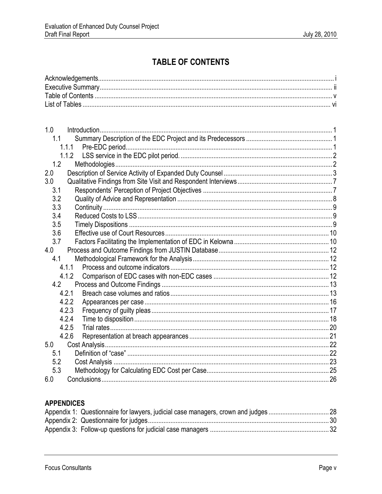# **TABLE OF CONTENTS**

| 1.0 |       |  |
|-----|-------|--|
| 1.1 |       |  |
|     | 1.1.1 |  |
|     | 1.1.2 |  |
| 1.2 |       |  |
| 2.0 |       |  |
| 3.0 |       |  |
| 3.1 |       |  |
| 3.2 |       |  |
| 3.3 |       |  |
| 3.4 |       |  |
| 3.5 |       |  |
| 3.6 |       |  |
| 3.7 |       |  |
| 4.0 |       |  |
| 4.1 |       |  |
|     | 4.1.1 |  |
|     | 4.1.2 |  |
| 4.2 |       |  |
|     | 4.2.1 |  |
|     | 4.2.2 |  |
|     | 4.2.3 |  |
|     | 4.2.4 |  |
|     | 4.2.5 |  |
|     | 4.2.6 |  |
| 5.0 |       |  |
| 5.1 |       |  |
| 5.2 |       |  |
| 5.3 |       |  |
| 6.0 |       |  |

## **APPENDICES**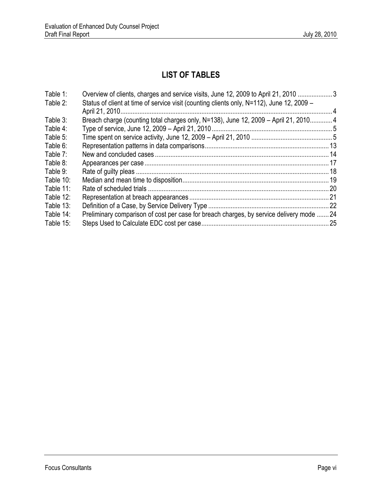# **LIST OF TABLES**

| Table 1:     | Overview of clients, charges and service visits, June 12, 2009 to April 21, 2010  3       |  |
|--------------|-------------------------------------------------------------------------------------------|--|
| Table 2:     | Status of client at time of service visit (counting clients only, N=112), June 12, 2009 – |  |
|              |                                                                                           |  |
| Table 3:     | Breach charge (counting total charges only, N=138), June 12, 2009 - April 21, 2010 4      |  |
| Table 4:     |                                                                                           |  |
| Table 5:     |                                                                                           |  |
| Table 6:     |                                                                                           |  |
| Table 7:     |                                                                                           |  |
| Table 8:     |                                                                                           |  |
| Table 9:     |                                                                                           |  |
| Table 10:    |                                                                                           |  |
| Table 11:    |                                                                                           |  |
| Table $12$ : |                                                                                           |  |
| Table 13:    |                                                                                           |  |
| Table 14:    | Preliminary comparison of cost per case for breach charges, by service delivery mode 24   |  |
| Table 15:    |                                                                                           |  |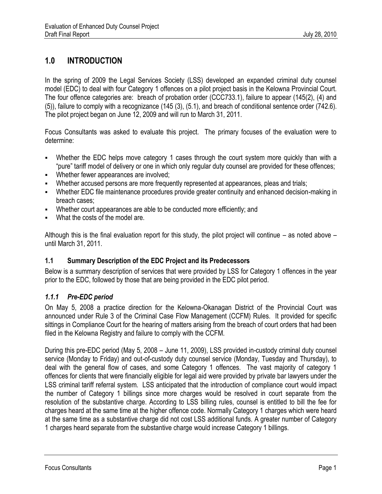## **1.0 INTRODUCTION**

In the spring of 2009 the Legal Services Society (LSS) developed an expanded criminal duty counsel model (EDC) to deal with four Category 1 offences on a pilot project basis in the Kelowna Provincial Court. The four offence categories are: breach of probation order (CCC733.1), failure to appear (145(2), (4) and (5)), failure to comply with a recognizance (145 (3), (5.1), and breach of conditional sentence order (742.6). The pilot project began on June 12, 2009 and will run to March 31, 2011.

Focus Consultants was asked to evaluate this project. The primary focuses of the evaluation were to determine:

- Whether the EDC helps move category 1 cases through the court system more quickly than with a "pure" tariff model of delivery or one in which only regular duty counsel are provided for these offences;
- **Whether fewer appearances are involved;**
- Whether accused persons are more frequently represented at appearances, pleas and trials;
- Whether EDC file maintenance procedures provide greater continuity and enhanced decision-making in breach cases;
- Whether court appearances are able to be conducted more efficiently; and
- What the costs of the model are.

Although this is the final evaluation report for this study, the pilot project will continue – as noted above – until March 31, 2011.

## **1.1 Summary Description of the EDC Project and its Predecessors**

Below is a summary description of services that were provided by LSS for Category 1 offences in the year prior to the EDC, followed by those that are being provided in the EDC pilot period.

## *1.1.1 Pre-EDC period*

On May 5, 2008 a practice direction for the Kelowna-Okanagan District of the Provincial Court was announced under Rule 3 of the Criminal Case Flow Management (CCFM) Rules. It provided for specific sittings in Compliance Court for the hearing of matters arising from the breach of court orders that had been filed in the Kelowna Registry and failure to comply with the CCFM.

During this pre-EDC period (May 5, 2008 – June 11, 2009), LSS provided in-custody criminal duty counsel service (Monday to Friday) and out-of-custody duty counsel service (Monday, Tuesday and Thursday), to deal with the general flow of cases, and some Category 1 offences. The vast majority of category 1 offences for clients that were financially eligible for legal aid were provided by private bar lawyers under the LSS criminal tariff referral system. LSS anticipated that the introduction of compliance court would impact the number of Category 1 billings since more charges would be resolved in court separate from the resolution of the substantive charge. According to LSS billing rules, counsel is entitled to bill the fee for charges heard at the same time at the higher offence code. Normally Category 1 charges which were heard at the same time as a substantive charge did not cost LSS additional funds. A greater number of Category 1 charges heard separate from the substantive charge would increase Category 1 billings.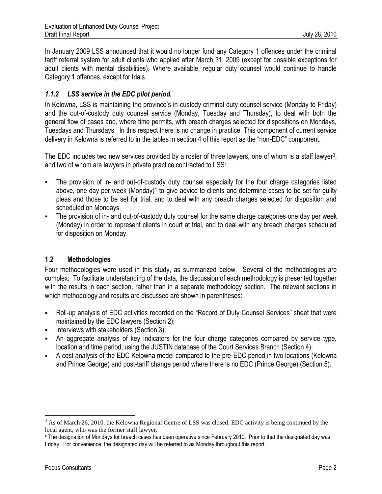In January 2009 LSS announced that it would no longer fund any Category 1 offences under the criminal tariff referral system for adult clients who applied after March 31, 2009 (except for possible exceptions for adult clients with mental disabilities). Where available, regular duty counsel would continue to handle Category 1 offences, except for trials.

## *1.1.2 LSS service in the EDC pilot period.*

In Kelowna, LSS is maintaining the province's in-custody criminal duty counsel service (Monday to Friday) and the out-of-custody duty counsel service (Monday, Tuesday and Thursday), to deal with both the general flow of cases and, where time permits, with breach charges selected for dispositions on Mondays, Tuesdays and Thursdays. In this respect there is no change in practice. This component of current service delivery in Kelowna is referred to in the tables in section 4 of this report as the "non-EDC" component.

The EDC includes two new services provided by a roster of three lawyers, one of whom is a staff lawyer<sup>3</sup>, and two of whom are lawyers in private practice contracted to LSS:

- The provision of in- and out-of-custody duty counsel especially for the four charge categories listed above, one day per week (Monday)<sup>4</sup> to give advice to clients and determine cases to be set for guilty pleas and those to be set for trial, and to deal with any breach charges selected for disposition and scheduled on Mondays.
- The provision of in- and out-of-custody duty counsel for the same charge categories one day per week (Monday) in order to represent clients in court at trial, and to deal with any breach charges scheduled for disposition on Monday.

## **1.2 Methodologies**

Four methodologies were used in this study, as summarized below. Several of the methodologies are complex. To facilitate understanding of the data, the discussion of each methodology is presented together with the results in each section, rather than in a separate methodology section. The relevant sections in which methodology and results are discussed are shown in parentheses:

- Roll-up analysis of EDC activities recorded on the "Record of Duty Counsel Services" sheet that were maintained by the EDC lawyers (Section 2);
- Interviews with stakeholders (Section 3);
- An aggregate analysis of key indicators for the four charge categories compared by service type, location and time period, using the JUSTIN database of the Court Services Branch (Section 4);
- A cost analysis of the EDC Kelowna model compared to the pre-EDC period in two locations (Kelowna and Prince George) and post-tariff change period where there is no EDC (Prince George) (Section 5).

 $\overline{a}$ 

 $3$  As of March 26, 2010, the Kelowna Regional Centre of LSS was closed. EDC activity is being continued by the local agent, who was the former staff lawyer.

<sup>4</sup> The designation of Mondays for breach cases has been operative since February 2010. Prior to that the designated day was Friday. For convenience, the designated day will be referred to as Monday throughout this report.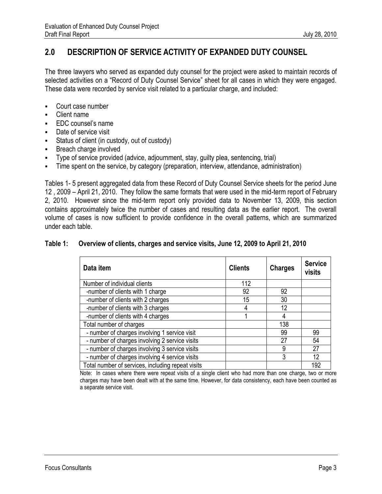## **2.0 DESCRIPTION OF SERVICE ACTIVITY OF EXPANDED DUTY COUNSEL**

The three lawyers who served as expanded duty counsel for the project were asked to maintain records of selected activities on a "Record of Duty Counsel Service" sheet for all cases in which they were engaged. These data were recorded by service visit related to a particular charge, and included:

- Court case number
- Client name
- EDC counsel's name
- Date of service visit
- Status of client (in custody, out of custody)
- **Breach charge involved**
- Type of service provided (advice, adjournment, stay, guilty plea, sentencing, trial)
- Time spent on the service, by category (preparation, interview, attendance, administration)

Tables 1- 5 present aggregated data from these Record of Duty Counsel Service sheets for the period June 12 , 2009 – April 21, 2010. They follow the same formats that were used in the mid-term report of February 2, 2010. However since the mid-term report only provided data to November 13, 2009, this section contains approximately twice the number of cases and resulting data as the earlier report. The overall volume of cases is now sufficient to provide confidence in the overall patterns, which are summarized under each table.

#### **Table 1: Overview of clients, charges and service visits, June 12, 2009 to April 21, 2010**

| Data item                                         | <b>Clients</b> | <b>Charges</b> | <b>Service</b><br>visits |
|---------------------------------------------------|----------------|----------------|--------------------------|
| Number of individual clients                      | 112            |                |                          |
| -number of clients with 1 charge                  | 92             | 92             |                          |
| -number of clients with 2 charges                 | 15             | 30             |                          |
| -number of clients with 3 charges                 |                | 12             |                          |
| -number of clients with 4 charges                 |                | 4              |                          |
| Total number of charges                           |                | 138            |                          |
| - number of charges involving 1 service visit     |                | 99             | 99                       |
| - number of charges involving 2 service visits    |                | 27             | 54                       |
| - number of charges involving 3 service visits    |                | 9              | 27                       |
| - number of charges involving 4 service visits    |                | 3              | 12                       |
| Total number of services, including repeat visits |                |                | 192                      |

Note: In cases where there were repeat visits of a single client who had more than one charge, two or more charges may have been dealt with at the same time. However, for data consistency, each have been counted as a separate service visit.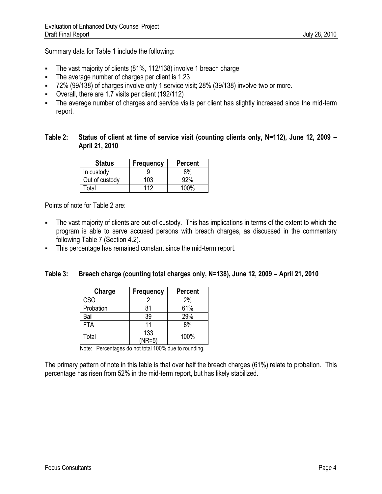Summary data for Table 1 include the following:

- The vast majority of clients (81%, 112/138) involve 1 breach charge
- The average number of charges per client is 1.23
- 72% (99/138) of charges involve only 1 service visit; 28% (39/138) involve two or more.
- Overall, there are 1.7 visits per client (192/112)
- The average number of charges and service visits per client has slightly increased since the mid-term report.

## **Table 2: Status of client at time of service visit (counting clients only, N=112), June 12, 2009 – April 21, 2010**

| <b>Status</b>  | <b>Frequency</b> | <b>Percent</b> |
|----------------|------------------|----------------|
| In custody     |                  | ጸ%             |
| Out of custody | 103              | 92%            |
| Γotal          | 112              | 1በበ%           |

Points of note for Table 2 are:

- The vast majority of clients are out-of-custody. This has implications in terms of the extent to which the program is able to serve accused persons with breach charges, as discussed in the commentary following Table 7 (Section 4.2).
- This percentage has remained constant since the mid-term report.

## **Table 3: Breach charge (counting total charges only, N=138), June 12, 2009 – April 21, 2010**

| Charge     | <b>Frequency</b> | <b>Percent</b> |
|------------|------------------|----------------|
| <b>CSO</b> |                  | 2%             |
| Probation  | 81               | 61%            |
| Bail       | 39               | 29%            |
| <b>FTA</b> | 11               | 8%             |
| Total      | 133<br>$(NR=5)$  | 100%           |

Note: Percentages do not total 100% due to rounding.

The primary pattern of note in this table is that over half the breach charges (61%) relate to probation. This percentage has risen from 52% in the mid-term report, but has likely stabilized.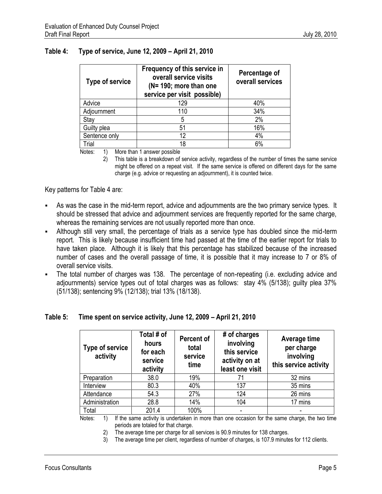| <b>Type of service</b> | Frequency of this service in<br>overall service visits<br>(N= 190; more than one<br>service per visit possible) | Percentage of<br>overall services |
|------------------------|-----------------------------------------------------------------------------------------------------------------|-----------------------------------|
| Advice                 | 129                                                                                                             | 40%                               |
| Adjournment            | 110                                                                                                             | 34%                               |
| Stay                   | 5                                                                                                               | 2%                                |
| Guilty plea            | 51                                                                                                              | 16%                               |
| Sentence only          | 12                                                                                                              | 4%                                |
| Trial                  | 18                                                                                                              | 6%                                |

#### **Table 4: Type of service, June 12, 2009 – April 21, 2010**

Notes: 1) More than 1 answer possible

2) This table is a breakdown of service activity, regardless of the number of times the same service might be offered on a repeat visit. If the same service is offered on different days for the same charge (e.g. advice or requesting an adjournment), it is counted twice.

Key patterns for Table 4 are:

- As was the case in the mid-term report, advice and adjournments are the two primary service types. It should be stressed that advice and adjournment services are frequently reported for the same charge, whereas the remaining services are not usually reported more than once.
- Although still very small, the percentage of trials as a service type has doubled since the mid-term report. This is likely because insufficient time had passed at the time of the earlier report for trials to have taken place. Although it is likely that this percentage has stabilized because of the increased number of cases and the overall passage of time, it is possible that it may increase to 7 or 8% of overall service visits.
- The total number of charges was 138. The percentage of non-repeating (i.e. excluding advice and adjournments) service types out of total charges was as follows: stay 4% (5/138); guilty plea 37% (51/138); sentencing 9% (12/138); trial 13% (18/138).

#### **Table 5: Time spent on service activity, June 12, 2009 – April 21, 2010**

| <b>Type of service</b><br>activity | Total # of<br>hours<br>for each<br>service<br>activity | Percent of<br>total<br>service<br>time | # of charges<br>involving<br>this service<br>activity on at<br>least one visit | Average time<br>per charge<br>involving<br>this service activity                             |
|------------------------------------|--------------------------------------------------------|----------------------------------------|--------------------------------------------------------------------------------|----------------------------------------------------------------------------------------------|
| Preparation                        | 38.0                                                   | 19%                                    | 71                                                                             | 32 mins                                                                                      |
| Interview                          | 80.3                                                   | 40%                                    | 137                                                                            | 35 mins                                                                                      |
| Attendance                         | 54.3                                                   | 27%                                    | 124                                                                            | 26 mins                                                                                      |
| Administration                     | 28.8                                                   | 14%                                    | 104                                                                            | 17 mins                                                                                      |
| Total                              | 201.4                                                  | 100%                                   |                                                                                |                                                                                              |
| $\overline{4}$<br><b>Matao</b> :   |                                                        |                                        |                                                                                | If the came optimize undertaken in more than and essession for the came charge. the two time |

Notes: 1) If the same activity is undertaken in more than one occasion for the same charge, the two time periods are totaled for that charge.

2) The average time per charge for all services is 90.9 minutes for 138 charges.

3) The average time per client, regardless of number of charges, is 107.9 minutes for 112 clients.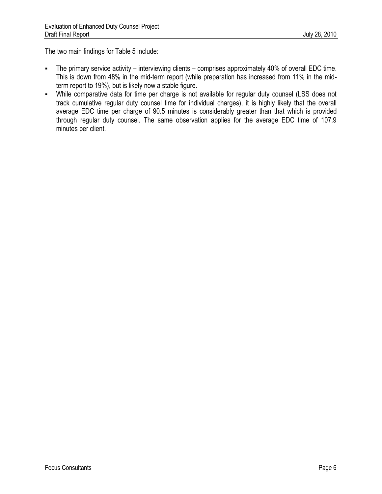The two main findings for Table 5 include:

- The primary service activity interviewing clients comprises approximately 40% of overall EDC time. This is down from 48% in the mid-term report (while preparation has increased from 11% in the midterm report to 19%), but is likely now a stable figure.
- While comparative data for time per charge is not available for regular duty counsel (LSS does not track cumulative regular duty counsel time for individual charges), it is highly likely that the overall average EDC time per charge of 90.5 minutes is considerably greater than that which is provided through regular duty counsel. The same observation applies for the average EDC time of 107.9 minutes per client.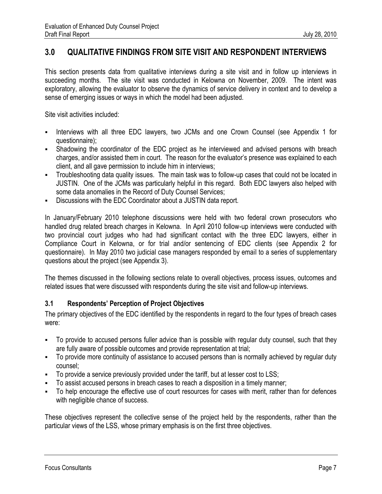## **3.0 QUALITATIVE FINDINGS FROM SITE VISIT AND RESPONDENT INTERVIEWS**

This section presents data from qualitative interviews during a site visit and in follow up interviews in succeeding months. The site visit was conducted in Kelowna on November, 2009. The intent was exploratory, allowing the evaluator to observe the dynamics of service delivery in context and to develop a sense of emerging issues or ways in which the model had been adjusted.

Site visit activities included:

- Interviews with all three EDC lawyers, two JCMs and one Crown Counsel (see Appendix 1 for questionnaire);
- Shadowing the coordinator of the EDC project as he interviewed and advised persons with breach charges, and/or assisted them in court. The reason for the evaluator's presence was explained to each client, and all gave permission to include him in interviews;
- Troubleshooting data quality issues. The main task was to follow-up cases that could not be located in JUSTIN. One of the JCMs was particularly helpful in this regard. Both EDC lawyers also helped with some data anomalies in the Record of Duty Counsel Services;
- Discussions with the EDC Coordinator about a JUSTIN data report.

In January/February 2010 telephone discussions were held with two federal crown prosecutors who handled drug related breach charges in Kelowna. In April 2010 follow-up interviews were conducted with two provincial court judges who had had significant contact with the three EDC lawyers, either in Compliance Court in Kelowna, or for trial and/or sentencing of EDC clients (see Appendix 2 for questionnaire). In May 2010 two judicial case managers responded by email to a series of supplementary questions about the project (see Appendix 3).

The themes discussed in the following sections relate to overall objectives, process issues, outcomes and related issues that were discussed with respondents during the site visit and follow-up interviews.

## **3.1 Respondents' Perception of Project Objectives**

The primary objectives of the EDC identified by the respondents in regard to the four types of breach cases were:

- To provide to accused persons fuller advice than is possible with regular duty counsel, such that they are fully aware of possible outcomes and provide representation at trial;
- To provide more continuity of assistance to accused persons than is normally achieved by regular duty counsel;
- To provide a service previously provided under the tariff, but at lesser cost to LSS;
- To assist accused persons in breach cases to reach a disposition in a timely manner;
- To help encourage the effective use of court resources for cases with merit, rather than for defences with negligible chance of success.

These objectives represent the collective sense of the project held by the respondents, rather than the particular views of the LSS, whose primary emphasis is on the first three objectives.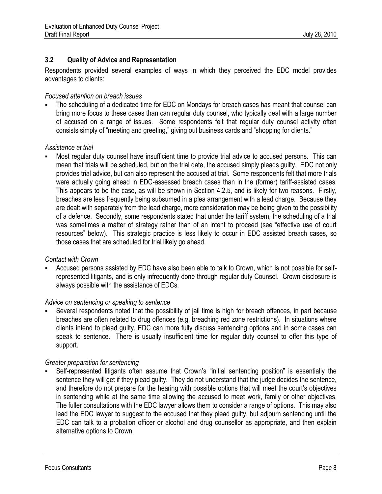## **3.2 Quality of Advice and Representation**

Respondents provided several examples of ways in which they perceived the EDC model provides advantages to clients:

## *Focused attention on breach issues*

 The scheduling of a dedicated time for EDC on Mondays for breach cases has meant that counsel can bring more focus to these cases than can regular duty counsel, who typically deal with a large number of accused on a range of issues. Some respondents felt that regular duty counsel activity often consists simply of "meeting and greeting," giving out business cards and "shopping for clients."

## *Assistance at trial*

 Most regular duty counsel have insufficient time to provide trial advice to accused persons. This can mean that trials will be scheduled, but on the trial date, the accused simply pleads guilty. EDC not only provides trial advice, but can also represent the accused at trial. Some respondents felt that more trials were actually going ahead in EDC-assessed breach cases than in the (former) tariff-assisted cases. This appears to be the case, as will be shown in Section 4.2.5, and is likely for two reasons. Firstly, breaches are less frequently being subsumed in a plea arrangement with a lead charge. Because they are dealt with separately from the lead charge, more consideration may be being given to the possibility of a defence. Secondly, some respondents stated that under the tariff system, the scheduling of a trial was sometimes a matter of strategy rather than of an intent to proceed (see "effective use of court resources" below). This strategic practice is less likely to occur in EDC assisted breach cases, so those cases that are scheduled for trial likely go ahead.

## *Contact with Crown*

 Accused persons assisted by EDC have also been able to talk to Crown, which is not possible for selfrepresented litigants, and is only infrequently done through regular duty Counsel. Crown disclosure is always possible with the assistance of EDCs.

## *Advice on sentencing or speaking to sentence*

 Several respondents noted that the possibility of jail time is high for breach offences, in part because breaches are often related to drug offences (e.g. breaching red zone restrictions). In situations where clients intend to plead guilty, EDC can more fully discuss sentencing options and in some cases can speak to sentence. There is usually insufficient time for regular duty counsel to offer this type of support.

## *Greater preparation for sentencing*

 Self-represented litigants often assume that Crown's "initial sentencing position" is essentially the sentence they will get if they plead guilty. They do not understand that the judge decides the sentence, and therefore do not prepare for the hearing with possible options that will meet the court's objectives in sentencing while at the same time allowing the accused to meet work, family or other objectives. The fuller consultations with the EDC lawyer allows them to consider a range of options. This may also lead the EDC lawyer to suggest to the accused that they plead guilty, but adjourn sentencing until the EDC can talk to a probation officer or alcohol and drug counsellor as appropriate, and then explain alternative options to Crown.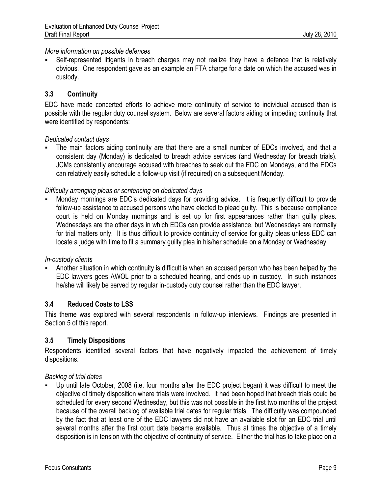## *More information on possible defences*

 Self-represented litigants in breach charges may not realize they have a defence that is relatively obvious. One respondent gave as an example an FTA charge for a date on which the accused was in custody.

## **3.3 Continuity**

EDC have made concerted efforts to achieve more continuity of service to individual accused than is possible with the regular duty counsel system. Below are several factors aiding or impeding continuity that were identified by respondents:

## *Dedicated contact days*

 The main factors aiding continuity are that there are a small number of EDCs involved, and that a consistent day (Monday) is dedicated to breach advice services (and Wednesday for breach trials). JCMs consistently encourage accused with breaches to seek out the EDC on Mondays, and the EDCs can relatively easily schedule a follow-up visit (if required) on a subsequent Monday.

## *Difficulty arranging pleas or sentencing on dedicated days*

 Monday mornings are EDC's dedicated days for providing advice. It is frequently difficult to provide follow-up assistance to accused persons who have elected to plead guilty. This is because compliance court is held on Monday mornings and is set up for first appearances rather than guilty pleas. Wednesdays are the other days in which EDCs can provide assistance, but Wednesdays are normally for trial matters only. It is thus difficult to provide continuity of service for guilty pleas unless EDC can locate a judge with time to fit a summary guilty plea in his/her schedule on a Monday or Wednesday.

## *In-custody clients*

 Another situation in which continuity is difficult is when an accused person who has been helped by the EDC lawyers goes AWOL prior to a scheduled hearing, and ends up in custody. In such instances he/she will likely be served by regular in-custody duty counsel rather than the EDC lawyer.

## **3.4 Reduced Costs to LSS**

This theme was explored with several respondents in follow-up interviews. Findings are presented in Section 5 of this report.

## **3.5 Timely Dispositions**

Respondents identified several factors that have negatively impacted the achievement of timely dispositions.

## *Backlog of trial dates*

 Up until late October, 2008 (i.e. four months after the EDC project began) it was difficult to meet the objective of timely disposition where trials were involved. It had been hoped that breach trials could be scheduled for every second Wednesday, but this was not possible in the first two months of the project because of the overall backlog of available trial dates for regular trials. The difficulty was compounded by the fact that at least one of the EDC lawyers did not have an available slot for an EDC trial until several months after the first court date became available. Thus at times the objective of a timely disposition is in tension with the objective of continuity of service. Either the trial has to take place on a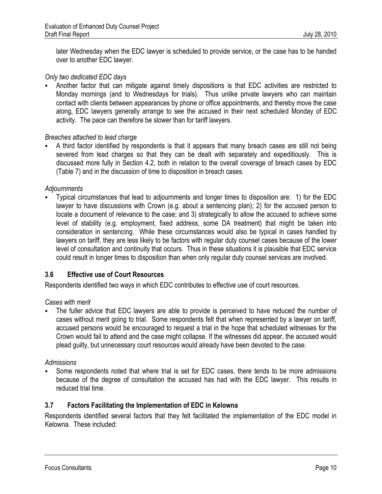later Wednesday when the EDC lawyer is scheduled to provide service, or the case has to be handed over to another EDC lawyer.

#### *Only two dedicated EDC days*

 Another factor that can mitigate against timely dispositions is that EDC activities are restricted to Monday mornings (and to Wednesdays for trials). Thus unlike private lawyers who can maintain contact with clients between appearances by phone or office appointments, and thereby move the case along, EDC lawyers generally arrange to see the accused in their next scheduled Monday of EDC activity. The pace can therefore be slower than for tariff lawyers.

#### *Breaches attached to lead charge*

 A third factor identified by respondents is that it appears that many breach cases are still not being severed from lead charges so that they can be dealt with separately and expeditiously. This is discussed more fully in Section 4.2, both in relation to the overall coverage of breach cases by EDC (Table 7) and in the discussion of time to disposition in breach cases.

#### *Adjournments*

 Typical circumstances that lead to adjournments and longer times to disposition are: 1) for the EDC lawyer to have discussions with Crown (e.g. about a sentencing plan); 2) for the accused person to locate a document of relevance to the case; and 3) strategically to allow the accused to achieve some level of stability (e.g. employment, fixed address, some DA treatment) that might be taken into consideration in sentencing. While these circumstances would also be typical in cases handled by lawyers on tariff, they are less likely to be factors with regular duty counsel cases because of the lower level of consultation and continuity that occurs. Thus in these situations it is plausible that EDC service could result in longer times to disposition than when only regular duty counsel services are involved.

## **3.6 Effective use of Court Resources**

Respondents identified two ways in which EDC contributes to effective use of court resources.

#### *Cases with merit*

 The fuller advice that EDC lawyers are able to provide is perceived to have reduced the number of cases without merit going to trial. Some respondents felt that when represented by a lawyer on tariff, accused persons would be encouraged to request a trial in the hope that scheduled witnesses for the Crown would fail to attend and the case might collapse. If the witnesses did appear, the accused would plead guilty, but unnecessary court resources would already have been devoted to the case.

#### *Admissions*

 Some respondents noted that where trial is set for EDC cases, there tends to be more admissions because of the degree of consultation the accused has had with the EDC lawyer. This results in reduced trial time.

## **3.7 Factors Facilitating the Implementation of EDC in Kelowna**

Respondents identified several factors that they felt facilitated the implementation of the EDC model in Kelowna. These included: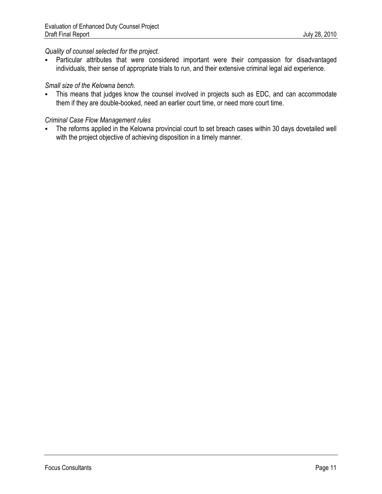## *Quality of counsel selected for the project.*

 Particular attributes that were considered important were their compassion for disadvantaged individuals, their sense of appropriate trials to run, and their extensive criminal legal aid experience.

## *Small size of the Kelowna bench.*

 This means that judges know the counsel involved in projects such as EDC, and can accommodate them if they are double-booked, need an earlier court time, or need more court time.

## *Criminal Case Flow Management rules*

 The reforms applied in the Kelowna provincial court to set breach cases within 30 days dovetailed well with the project objective of achieving disposition in a timely manner.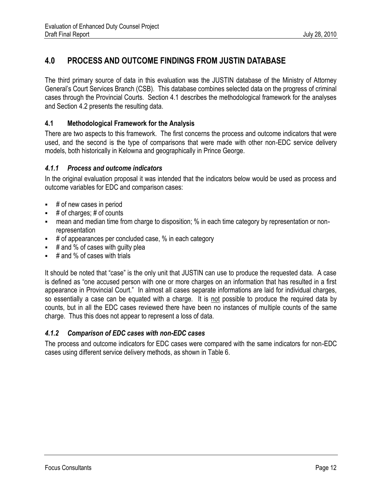## **4.0 PROCESS AND OUTCOME FINDINGS FROM JUSTIN DATABASE**

The third primary source of data in this evaluation was the JUSTIN database of the Ministry of Attorney General's Court Services Branch (CSB). This database combines selected data on the progress of criminal cases through the Provincial Courts. Section 4.1 describes the methodological framework for the analyses and Section 4.2 presents the resulting data.

## **4.1 Methodological Framework for the Analysis**

There are two aspects to this framework. The first concerns the process and outcome indicators that were used, and the second is the type of comparisons that were made with other non-EDC service delivery models, both historically in Kelowna and geographically in Prince George.

## *4.1.1 Process and outcome indicators*

In the original evaluation proposal it was intended that the indicators below would be used as process and outcome variables for EDC and comparison cases:

- $\overline{\phantom{a}}$  # of new cases in period
- # of charges; # of counts
- mean and median time from charge to disposition; % in each time category by representation or nonrepresentation
- $\bullet$  # of appearances per concluded case, % in each category
- $\pm$  # and % of cases with quilty plea
- $\overline{\phantom{a}}$  # and % of cases with trials

It should be noted that "case" is the only unit that JUSTIN can use to produce the requested data. A case is defined as "one accused person with one or more charges on an information that has resulted in a first appearance in Provincial Court." In almost all cases separate informations are laid for individual charges, so essentially a case can be equated with a charge. It is not possible to produce the required data by counts, but in all the EDC cases reviewed there have been no instances of multiple counts of the same charge. Thus this does not appear to represent a loss of data.

## *4.1.2 Comparison of EDC cases with non-EDC cases*

The process and outcome indicators for EDC cases were compared with the same indicators for non-EDC cases using different service delivery methods, as shown in Table 6.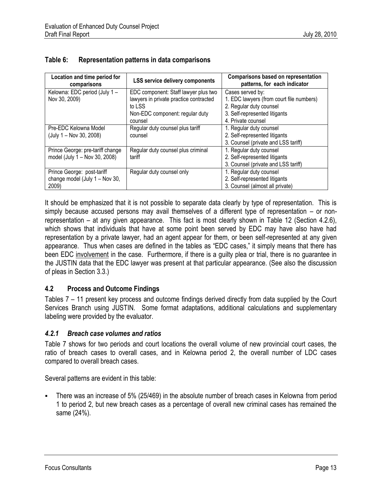| Location and time period for<br>comparisons | <b>LSS service delivery components</b> | <b>Comparisons based on representation</b><br>patterns, for each indicator |
|---------------------------------------------|----------------------------------------|----------------------------------------------------------------------------|
| Kelowna: EDC period (July 1-                | EDC component: Staff lawyer plus two   | Cases served by:                                                           |
| Nov 30, 2009)                               | lawyers in private practice contracted | 1. EDC lawyers (from court file numbers)                                   |
|                                             | to LSS                                 | 2. Regular duty counsel                                                    |
|                                             | Non-EDC component: regular duty        | 3. Self-represented litigants                                              |
|                                             | counsel                                | 4. Private counsel                                                         |
| Pre-EDC Kelowna Model                       | Regular duty counsel plus tariff       | 1. Regular duty counsel                                                    |
| (July 1 – Nov 30, 2008)                     | counsel                                | 2. Self-represented litigants                                              |
|                                             |                                        | 3. Counsel (private and LSS tariff)                                        |
| Prince George: pre-tariff change            | Regular duty counsel plus criminal     | 1. Regular duty counsel                                                    |
| model (July 1 – Nov 30, 2008)               | tariff                                 | 2. Self-represented litigants                                              |
|                                             |                                        | 3. Counsel (private and LSS tariff)                                        |
| Prince George: post-tariff                  | Regular duty counsel only              | 1. Regular duty counsel                                                    |
| change model (July 1 - Nov 30,              |                                        | 2. Self-represented litigants                                              |
| 2009)                                       |                                        | 3. Counsel (almost all private)                                            |

## **Table 6: Representation patterns in data comparisons**

It should be emphasized that it is not possible to separate data clearly by type of representation. This is simply because accused persons may avail themselves of a different type of representation – or nonrepresentation – at any given appearance. This fact is most clearly shown in Table 12 (Section 4.2.6), which shows that individuals that have at some point been served by EDC may have also have had representation by a private lawyer, had an agent appear for them, or been self-represented at any given appearance. Thus when cases are defined in the tables as "EDC cases," it simply means that there has been EDC involvement in the case. Furthermore, if there is a guilty plea or trial, there is no guarantee in the JUSTIN data that the EDC lawyer was present at that particular appearance. (See also the discussion of pleas in Section 3.3.)

## **4.2 Process and Outcome Findings**

Tables 7 – 11 present key process and outcome findings derived directly from data supplied by the Court Services Branch using JUSTIN. Some format adaptations, additional calculations and supplementary labeling were provided by the evaluator.

#### *4.2.1 Breach case volumes and ratios*

Table 7 shows for two periods and court locations the overall volume of new provincial court cases, the ratio of breach cases to overall cases, and in Kelowna period 2, the overall number of LDC cases compared to overall breach cases.

Several patterns are evident in this table:

 There was an increase of 5% (25/469) in the absolute number of breach cases in Kelowna from period 1 to period 2, but new breach cases as a percentage of overall new criminal cases has remained the same (24%).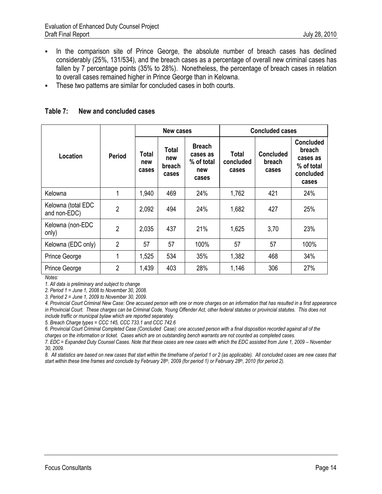- In the comparison site of Prince George, the absolute number of breach cases has declined considerably (25%, 131/534), and the breach cases as a percentage of overall new criminal cases has fallen by 7 percentage points (35% to 28%). Nonetheless, the percentage of breach cases in relation to overall cases remained higher in Prince George than in Kelowna.
- These two patterns are similar for concluded cases in both courts.

#### **Table 7: New and concluded cases**

|                                    |                | New cases                    |                                 |                                                         | <b>Concluded cases</b>             |                                     |                                                                            |
|------------------------------------|----------------|------------------------------|---------------------------------|---------------------------------------------------------|------------------------------------|-------------------------------------|----------------------------------------------------------------------------|
| Location                           | <b>Period</b>  | <b>Total</b><br>new<br>cases | Total<br>new<br>breach<br>cases | <b>Breach</b><br>cases as<br>% of total<br>new<br>cases | <b>Total</b><br>concluded<br>cases | <b>Concluded</b><br>breach<br>cases | <b>Concluded</b><br>breach<br>cases as<br>% of total<br>concluded<br>cases |
| Kelowna                            |                | 1,940                        | 469                             | 24%                                                     | 1,762                              | 421                                 | 24%                                                                        |
| Kelowna (total EDC<br>and non-EDC) | $\overline{2}$ | 2,092                        | 494                             | 24%                                                     | 1,682                              | 427                                 | 25%                                                                        |
| Kelowna (non-EDC<br>only)          | $\overline{2}$ | 2,035                        | 437                             | 21%                                                     | 1,625                              | 3,70                                | 23%                                                                        |
| Kelowna (EDC only)                 | $\overline{2}$ | 57                           | 57                              | 100%                                                    | 57                                 | 57                                  | 100%                                                                       |
| Prince George                      |                | 1,525                        | 534                             | 35%                                                     | 1,382                              | 468                                 | 34%                                                                        |
| Prince George                      | $\overline{2}$ | 1,439                        | 403                             | 28%                                                     | 1,146                              | 306                                 | 27%                                                                        |

*Notes:*

*1. All data is preliminary and subject to change*

*2. Period 1 = June 1, 2008 to November 30, 2008.* 

*3. Period 2 = June 1, 2009 to November 30, 2009.*

*4. Provincial Court Criminal New Case: One accused person with one or more charges on an information that has resulted in a first appearance in Provincial Court. These charges can be Criminal Code, Young Offender Act, other federal statutes or provincial statutes. This does not include traffic or municipal bylaw which are reported separately.*

*5. Breach Charge types = CCC 145, CCC 733.1 and CCC 742.6*

*6. Provincial Court Criminal Completed Case (Concluded Case): one accused person with a final disposition recorded against all of the charges on the information or ticket. Cases which are on outstanding bench warrants are not counted as completed cases.*

7. EDC = Expanded Duty Counsel Cases. Note that these cases are new cases with which the EDC assisted from June 1, 2009 - November *30, 2009.* 

*8. All statistics are based on new cases that start within the timeframe of period 1 or 2 (as applicable). All concluded cases are new cases that start within these time frames and conclude by February 28th, 2009 (for period 1) or February 28th, 2010 (for period 2).*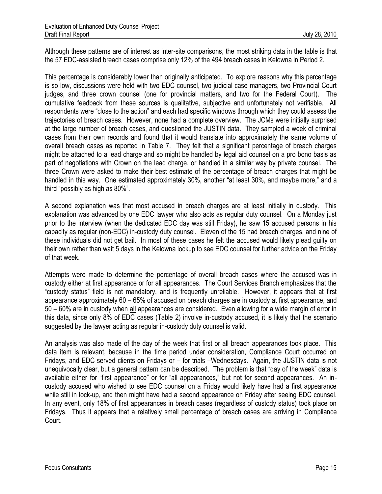Although these patterns are of interest as inter-site comparisons, the most striking data in the table is that the 57 EDC-assisted breach cases comprise only 12% of the 494 breach cases in Kelowna in Period 2.

This percentage is considerably lower than originally anticipated. To explore reasons why this percentage is so low, discussions were held with two EDC counsel, two judicial case managers, two Provincial Court judges, and three crown counsel (one for provincial matters, and two for the Federal Court). The cumulative feedback from these sources is qualitative, subjective and unfortunately not verifiable. All respondents were "close to the action" and each had specific windows through which they could assess the trajectories of breach cases. However, none had a complete overview. The JCMs were initially surprised at the large number of breach cases, and questioned the JUSTIN data. They sampled a week of criminal cases from their own records and found that it would translate into approximately the same volume of overall breach cases as reported in Table 7. They felt that a significant percentage of breach charges might be attached to a lead charge and so might be handled by legal aid counsel on a pro bono basis as part of negotiations with Crown on the lead charge, or handled in a similar way by private counsel. The three Crown were asked to make their best estimate of the percentage of breach charges that might be handled in this way. One estimated approximately 30%, another "at least 30%, and maybe more," and a third "possibly as high as 80%".

A second explanation was that most accused in breach charges are at least initially in custody. This explanation was advanced by one EDC lawyer who also acts as regular duty counsel. On a Monday just prior to the interview (when the dedicated EDC day was still Friday), he saw 15 accused persons in his capacity as regular (non-EDC) in-custody duty counsel. Eleven of the 15 had breach charges, and nine of these individuals did not get bail. In most of these cases he felt the accused would likely plead guilty on their own rather than wait 5 days in the Kelowna lockup to see EDC counsel for further advice on the Friday of that week.

Attempts were made to determine the percentage of overall breach cases where the accused was in custody either at first appearance or for all appearances. The Court Services Branch emphasizes that the "custody status" field is not mandatory, and is frequently unreliable. However, it appears that at first appearance approximately 60 – 65% of accused on breach charges are in custody at first appearance, and 50 – 60% are in custody when all appearances are considered. Even allowing for a wide margin of error in this data, since only 8% of EDC cases (Table 2) involve in-custody accused, it is likely that the scenario suggested by the lawyer acting as regular in-custody duty counsel is valid.

An analysis was also made of the day of the week that first or all breach appearances took place. This data item is relevant, because in the time period under consideration, Compliance Court occurred on Fridays, and EDC served clients on Fridays or – for trials –Wednesdays. Again, the JUSTIN data is not unequivocally clear, but a general pattern can be described. The problem is that "day of the week" data is available either for "first appearance" or for "all appearances," but not for second appearances. An incustody accused who wished to see EDC counsel on a Friday would likely have had a first appearance while still in lock-up, and then might have had a second appearance on Friday after seeing EDC counsel. In any event, only 18% of first appearances in breach cases (regardless of custody status) took place on Fridays. Thus it appears that a relatively small percentage of breach cases are arriving in Compliance Court.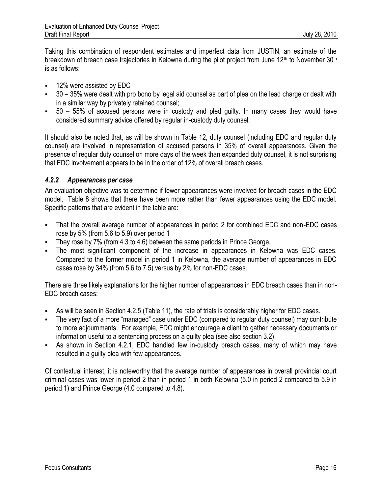Taking this combination of respondent estimates and imperfect data from JUSTIN, an estimate of the breakdown of breach case trajectories in Kelowna during the pilot project from June 12<sup>th</sup> to November 30<sup>th</sup> is as follows:

- 12% were assisted by EDC
- 30 35% were dealt with pro bono by legal aid counsel as part of plea on the lead charge or dealt with in a similar way by privately retained counsel;
- $\bullet$  50 55% of accused persons were in custody and pled guilty. In many cases they would have considered summary advice offered by regular in-custody duty counsel.

It should also be noted that, as will be shown in Table 12, duty counsel (including EDC and regular duty counsel) are involved in representation of accused persons in 35% of overall appearances. Given the presence of regular duty counsel on more days of the week than expanded duty counsel, it is not surprising that EDC involvement appears to be in the order of 12% of overall breach cases.

## *4.2.2 Appearances per case*

An evaluation objective was to determine if fewer appearances were involved for breach cases in the EDC model. Table 8 shows that there have been more rather than fewer appearances using the EDC model. Specific patterns that are evident in the table are:

- That the overall average number of appearances in period 2 for combined EDC and non-EDC cases rose by 5% (from 5.6 to 5.9) over period 1
- They rose by 7% (from 4.3 to 4.6) between the same periods in Prince George.
- The most significant component of the increase in appearances in Kelowna was EDC cases. Compared to the former model in period 1 in Kelowna, the average number of appearances in EDC cases rose by 34% (from 5.6 to 7.5) versus by 2% for non-EDC cases.

There are three likely explanations for the higher number of appearances in EDC breach cases than in non-EDC breach cases:

- As will be seen in Section 4.2.5 (Table 11), the rate of trials is considerably higher for EDC cases.
- The very fact of a more "managed" case under EDC (compared to regular duty counsel) may contribute to more adjournments. For example, EDC might encourage a client to gather necessary documents or information useful to a sentencing process on a guilty plea (see also section 3.2).
- As shown in Section 4.2.1, EDC handled few in-custody breach cases, many of which may have resulted in a guilty plea with few appearances.

Of contextual interest, it is noteworthy that the average number of appearances in overall provincial court criminal cases was lower in period 2 than in period 1 in both Kelowna (5.0 in period 2 compared to 5.9 in period 1) and Prince George (4.0 compared to 4.8).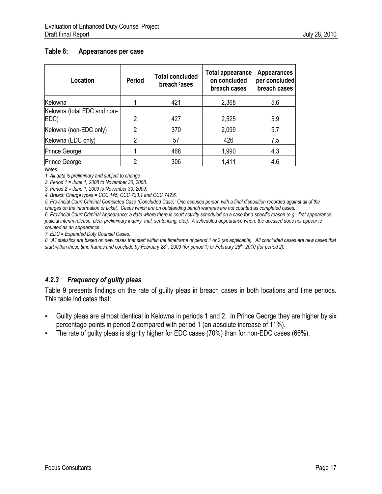## **Table 8: Appearances per case**

| Location                            | <b>Period</b> | <b>Total concluded</b><br>breach cases | <b>Total appearance</b><br>on concluded<br>breach cases | <b>Appearances</b><br>per concluded<br>breach cases |
|-------------------------------------|---------------|----------------------------------------|---------------------------------------------------------|-----------------------------------------------------|
| Kelowna                             |               | 421                                    | 2,368                                                   | 5.6                                                 |
| Kelowna (total EDC and non-<br>EDC) | 2             | 427                                    | 2,525                                                   | 5.9                                                 |
| Kelowna (non-EDC only)              | 2             | 370                                    | 2,099                                                   | 5.7                                                 |
| Kelowna (EDC only)                  | 2             | 57                                     | 426                                                     | 7.5                                                 |
| Prince George                       |               | 468                                    | 1,990                                                   | 4.3                                                 |
| Prince George                       | റ             | 306                                    | 1,411                                                   | 4.6                                                 |

*Notes:*

*1. All data is preliminary and subject to change*

*2. Period 1 = June 1, 2008 to November 30, 2008.*

*3. Period 2 = June 1, 2009 to November 30, 2009.* 

*4. Breach Charge types = CCC 145, CCC 733.1 and CCC 742.6.*

*5. Provincial Court Criminal Completed Case (Concluded Case): One accused person with a final disposition recorded against all of the charges on the information or ticket. Cases which are on outstanding bench warrants are not counted as completed cases.*

*6. Provincial Court Criminal Appearance: a date where there is court activity scheduled on a case for a specific reason (e.g., first appearance, judicial interim release, plea, preliminary inquiry, trial, sentencing, etc.). A scheduled appearance where the accused does not appear is counted as an appearance.*

*7. EDC = Expanded Duty Counsel Cases.* 

*8. All statistics are based on new cases that start within the timeframe of period 1 or 2 (as applicable). All concluded cases are new cases that start within these time frames and conclude by February 28th, 2009 (for period 1) or February 28th, 2010 (for period 2).*

## *4.2.3 Frequency of guilty pleas*

Table 9 presents findings on the rate of guilty pleas in breach cases in both locations and time periods. This table indicates that:

- Guilty pleas are almost identical in Kelowna in periods 1 and 2. In Prince George they are higher by six percentage points in period 2 compared with period 1 (an absolute increase of 11%).
- The rate of guilty pleas is slightly higher for EDC cases (70%) than for non-EDC cases (66%).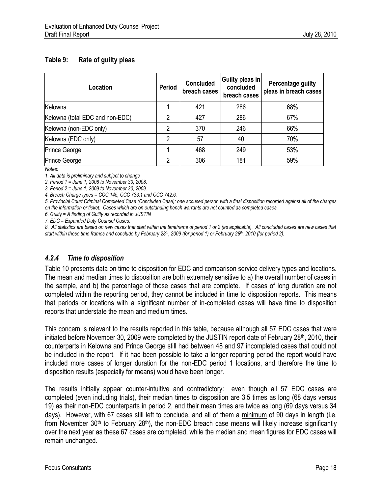## **Table 9: Rate of guilty pleas**

| Location                        | <b>Period</b> | <b>Concluded</b><br>breach cases | Guilty pleas in<br>concluded<br>breach cases | Percentage guilty<br>pleas in breach cases |
|---------------------------------|---------------|----------------------------------|----------------------------------------------|--------------------------------------------|
| Kelowna                         |               | 421                              | 286                                          | 68%                                        |
| Kelowna (total EDC and non-EDC) | າ             | 427                              | 286                                          | 67%                                        |
| Kelowna (non-EDC only)          | 2             | 370                              | 246                                          | 66%                                        |
| Kelowna (EDC only)              | 2             | 57                               | 40                                           | 70%                                        |
| Prince George                   |               | 468                              | 249                                          | 53%                                        |
| Prince George                   | ∩             | 306                              | 181                                          | 59%                                        |

*Notes:*

*1. All data is preliminary and subject to change*

*2. Period 1 = June 1, 2008 to November 30, 2008.* 

*3. Period 2 = June 1, 2009 to November 30, 2009.* 

*4. Breach Charge types = CCC 145, CCC 733.1 and CCC 742.6.*

*5. Provincial Court Criminal Completed Case (Concluded Case): one accused person with a final disposition recorded against all of the charges on the information or ticket. Cases which are on outstanding bench warrants are not counted as completed cases.*

*6. Guilty = A finding of Guilty as recorded in JUSTIN*

*7. EDC = Expanded Duty Counsel Cases.* 

*8. All statistics are based on new cases that start within the timeframe of period 1 or 2 (as applicable). All concluded cases are new cases that start within these time frames and conclude by February 28th, 2009 (for period 1) or February 28th, 2010 (for period 2).*

## *4.2.4 Time to disposition*

Table 10 presents data on time to disposition for EDC and comparison service delivery types and locations. The mean and median times to disposition are both extremely sensitive to a) the overall number of cases in the sample, and b) the percentage of those cases that are complete. If cases of long duration are not completed within the reporting period, they cannot be included in time to disposition reports. This means that periods or locations with a significant number of in-completed cases will have time to disposition reports that understate the mean and medium times.

This concern is relevant to the results reported in this table, because although all 57 EDC cases that were initiated before November 30, 2009 were completed by the JUSTIN report date of February 28<sup>th</sup>, 2010, their counterparts in Kelowna and Prince George still had between 48 and 97 incompleted cases that could not be included in the report. If it had been possible to take a longer reporting period the report would have included more cases of longer duration for the non-EDC period 1 locations, and therefore the time to disposition results (especially for means) would have been longer.

The results initially appear counter-intuitive and contradictory: even though all 57 EDC cases are completed (even including trials), their median times to disposition are 3.5 times as long (68 days versus 19) as their non-EDC counterparts in period 2, and their mean times are twice as long (69 days versus 34 days). However, with 67 cases still left to conclude, and all of them a minimum of 90 days in length (i.e. from November  $30<sup>th</sup>$  to February  $28<sup>th</sup>$ ), the non-EDC breach case means will likely increase significantly over the next year as these 67 cases are completed, while the median and mean figures for EDC cases will remain unchanged.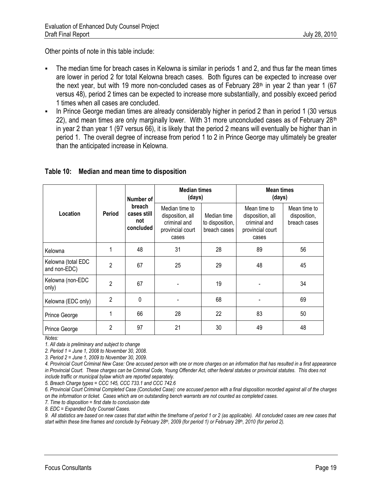Other points of note in this table include:

- The median time for breach cases in Kelowna is similar in periods 1 and 2, and thus far the mean times are lower in period 2 for total Kelowna breach cases. Both figures can be expected to increase over the next year, but with 19 more non-concluded cases as of February  $28<sup>th</sup>$  in year 2 than year 1 (67 versus 48), period 2 times can be expected to increase more substantially, and possibly exceed period 1 times when all cases are concluded.
- In Prince George median times are already considerably higher in period 2 than in period 1 (30 versus 22), and mean times are only marginally lower. With 31 more unconcluded cases as of February  $28<sup>th</sup>$ in year 2 than year 1 (97 versus 66), it is likely that the period 2 means will eventually be higher than in period 1. The overall degree of increase from period 1 to 2 in Prince George may ultimately be greater than the anticipated increase in Kelowna.

#### **Table 10: Median and mean time to disposition**

|                                    |                | Number of<br>breach<br>cases still<br>not<br>concluded | <b>Median times</b><br>(days)                                                   |                                                | <b>Mean times</b><br>(days)                                                   |                                              |  |
|------------------------------------|----------------|--------------------------------------------------------|---------------------------------------------------------------------------------|------------------------------------------------|-------------------------------------------------------------------------------|----------------------------------------------|--|
| Location                           | <b>Period</b>  |                                                        | Median time to<br>disposition, all<br>criminal and<br>provincial court<br>cases | Median time<br>to disposition,<br>breach cases | Mean time to<br>disposition, all<br>criminal and<br>provincial court<br>cases | Mean time to<br>disposition,<br>breach cases |  |
| Kelowna                            | 1              | 48                                                     | 31                                                                              | 28                                             | 89                                                                            | 56                                           |  |
| Kelowna (total EDC<br>and non-EDC) | $\overline{2}$ | 67                                                     | 25                                                                              | 29                                             | 48                                                                            | 45                                           |  |
| Kelowna (non-EDC<br>only)          | $\mathfrak{p}$ | 67                                                     |                                                                                 | 19                                             |                                                                               | 34                                           |  |
| Kelowna (EDC only)                 | $\overline{2}$ | $\Omega$                                               |                                                                                 | 68                                             |                                                                               | 69                                           |  |
| Prince George                      | 1              | 66                                                     | 28                                                                              | 22                                             | 83                                                                            | 50                                           |  |
| Prince George                      | $\mathfrak{p}$ | 97                                                     | 21                                                                              | 30                                             | 49                                                                            | 48                                           |  |

*Notes:*

*1. All data is preliminary and subject to change*

*2. Period 1 = June 1, 2008 to November 30, 2008.* 

*3. Period 2 = June 1, 2009 to November 30, 2009.*

*4. Provincial Court Criminal New Case: One accused person with one or more charges on an information that has resulted in a first appearance in Provincial Court. These charges can be Criminal Code, Young Offender Act, other federal statutes or provincial statutes. This does not include traffic or municipal bylaw which are reported separately.*

*5. Breach Charge types = CCC 145, CCC 733.1 and CCC 742.6*

*6. Provincial Court Criminal Completed Case (Concluded Case): one accused person with a final disposition recorded against all of the charges on the information or ticket. Cases which are on outstanding bench warrants are not counted as completed cases.*

*7. Time to disposition = first date to conclusion date*

*8. EDC = Expanded Duty Counsel Cases.* 

*9. All statistics are based on new cases that start within the timeframe of period 1 or 2 (as applicable). All concluded cases are new cases that start within these time frames and conclude by February 28th, 2009 (for period 1) or February 28th, 2010 (for period 2).*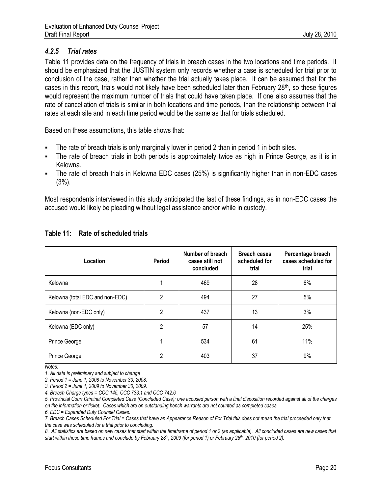## *4.2.5 Trial rates*

Table 11 provides data on the frequency of trials in breach cases in the two locations and time periods. It should be emphasized that the JUSTIN system only records whether a case is scheduled for trial prior to conclusion of the case, rather than whether the trial actually takes place. It can be assumed that for the cases in this report, trials would not likely have been scheduled later than February  $28<sup>th</sup>$ , so these figures would represent the maximum number of trials that could have taken place. If one also assumes that the rate of cancellation of trials is similar in both locations and time periods, than the relationship between trial rates at each site and in each time period would be the same as that for trials scheduled.

Based on these assumptions, this table shows that:

- The rate of breach trials is only marginally lower in period 2 than in period 1 in both sites.
- The rate of breach trials in both periods is approximately twice as high in Prince George, as it is in Kelowna.
- The rate of breach trials in Kelowna EDC cases (25%) is significantly higher than in non-EDC cases (3%).

Most respondents interviewed in this study anticipated the last of these findings, as in non-EDC cases the accused would likely be pleading without legal assistance and/or while in custody.

| Location                        | Period | Number of breach<br>cases still not<br>concluded | <b>Breach cases</b><br>scheduled for<br>trial | Percentage breach<br>cases scheduled for<br>trial |
|---------------------------------|--------|--------------------------------------------------|-----------------------------------------------|---------------------------------------------------|
| Kelowna                         |        | 469                                              | 28                                            | 6%                                                |
| Kelowna (total EDC and non-EDC) | 2      | 494                                              | 27                                            | 5%                                                |
| Kelowna (non-EDC only)          | 2      | 437                                              | 13                                            | 3%                                                |
| Kelowna (EDC only)              | 2      | 57                                               | 14                                            | 25%                                               |
| Prince George                   |        | 534                                              | 61                                            | 11%                                               |
| Prince George                   | 2      | 403                                              | 37                                            | 9%                                                |

## **Table 11: Rate of scheduled trials**

*Notes:*

*1. All data is preliminary and subject to change*

*2. Period 1 = June 1, 2008 to November 30, 2008.* 

*4. Breach Charge types = CCC 145, CCC 733.1 and CCC 742.6*

*6. EDC = Expanded Duty Counsel Cases.* 

*7. Breach Cases Scheduled For Trial = Cases that have an Appearance Reason of For Trial this does not mean the trial proceeded only that the case was scheduled for a trial prior to concluding.*

*8. All statistics are based on new cases that start within the timeframe of period 1 or 2 (as applicable). All concluded cases are new cases that start within these time frames and conclude by February 28th, 2009 (for period 1) or February 28th, 2010 (for period 2).*

*<sup>3.</sup> Period 2 = June 1, 2009 to November 30, 2009.*

*<sup>5.</sup> Provincial Court Criminal Completed Case (Concluded Case): one accused person with a final disposition recorded against all of the charges on the information or ticket. Cases which are on outstanding bench warrants are not counted as completed cases.*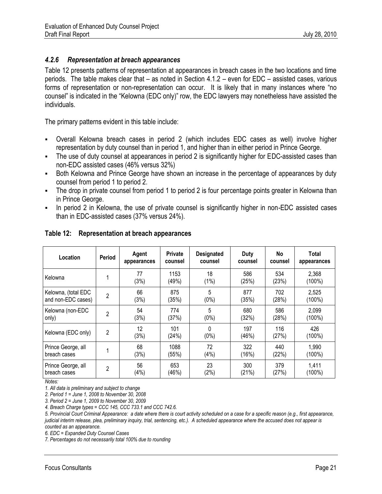## *4.2.6 Representation at breach appearances*

Table 12 presents patterns of representation at appearances in breach cases in the two locations and time periods. The table makes clear that – as noted in Section 4.1.2 – even for EDC – assisted cases, various forms of representation or non-representation can occur. It is likely that in many instances where "no counsel" is indicated in the "Kelowna (EDC only)" row, the EDC lawyers may nonetheless have assisted the individuals.

The primary patterns evident in this table include:

- Overall Kelowna breach cases in period 2 (which includes EDC cases as well) involve higher representation by duty counsel than in period 1, and higher than in either period in Prince George.
- The use of duty counsel at appearances in period 2 is significantly higher for EDC-assisted cases than non-EDC assisted cases (46% versus 32%)
- Both Kelowna and Prince George have shown an increase in the percentage of appearances by duty counsel from period 1 to period 2.
- The drop in private counsel from period 1 to period 2 is four percentage points greater in Kelowna than in Prince George.
- In period 2 in Kelowna, the use of private counsel is significantly higher in non-EDC assisted cases than in EDC-assisted cases (37% versus 24%).

| Location            | Period         | Agent<br>appearances | <b>Private</b><br>counsel | <b>Designated</b><br>counsel | Duty<br>counsel | No<br>counsel | Total<br>appearances |
|---------------------|----------------|----------------------|---------------------------|------------------------------|-----------------|---------------|----------------------|
| Kelowna             |                | 77<br>(3%)           | 1153<br>(49%)             | 18<br>$(1\%)$                | 586<br>(25%)    | 534<br>(23%)  | 2,368<br>$(100\%)$   |
| Kelowna, (total EDC | 2              | 66                   | 875                       | 5                            | 877             | 702           | 2,525                |
| and non-EDC cases)  |                | (3%)                 | (35%)                     | $(0\%)$                      | (35%)           | (28%)         | $(100\%)$            |
| Kelowna (non-EDC    | 2              | 54                   | 774                       | 5                            | 680             | 586           | 2,099                |
| only)               |                | (3%)                 | (37%)                     | $(0\%)$                      | (32%)           | (28%)         | $(100\%)$            |
| Kelowna (EDC only)  | $\overline{2}$ | 12<br>(3%)           | 101<br>(24%)              | 0<br>$(0\%)$                 | 197<br>(46%)    | 116<br>(27%)  | 426<br>(100%)        |
| Prince George, all  |                | 68                   | 1088                      | 72                           | 322             | 440           | 1,990                |
| breach cases        |                | (3%)                 | (55%)                     | (4% )                        | (16%)           | (22%)         | $(100\%)$            |
| Prince George, all  | $\overline{2}$ | 56                   | 653                       | 23                           | 300             | 379           | 1,411                |
| breach cases        |                | (4% )                | (46%)                     | (2%)                         | (21%)           | (27%)         | $(100\%)$            |

## **Table 12: Representation at breach appearances**

*Notes:*

*1. All data is preliminary and subject to change*

*2. Period 1 = June 1, 2008 to November 30, 2008*

*3. Period 2 = June 1, 2009 to November 30, 2009*

*4. Breach Charge types = CCC 145, CCC 733.1 and CCC 742.6.* 

*5. Provincial Court Criminal Appearance: a date where there is court activity scheduled on a case for a specific reason (e.g., first appearance, judicial interim release, plea, preliminary inquiry, trial, sentencing, etc.). A scheduled appearance where the accused does not appear is counted as an appearance.*

*6. EDC = Expanded Duty Counsel Cases*

*7. Percentages do not necessarily total 100% due to rounding*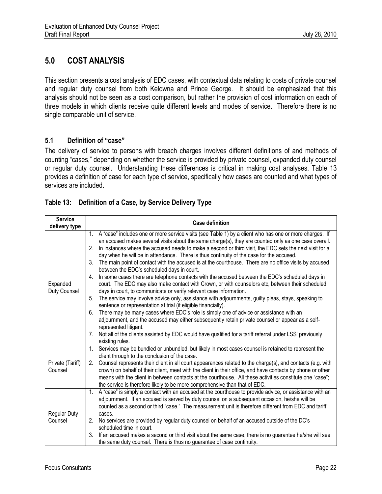## **5.0 COST ANALYSIS**

This section presents a cost analysis of EDC cases, with contextual data relating to costs of private counsel and regular duty counsel from both Kelowna and Prince George. It should be emphasized that this analysis should not be seen as a cost comparison, but rather the provision of cost information on each of three models in which clients receive quite different levels and modes of service. Therefore there is no single comparable unit of service.

## **5.1 Definition of "case"**

The delivery of service to persons with breach charges involves different definitions of and methods of counting "cases," depending on whether the service is provided by private counsel, expanded duty counsel or regular duty counsel. Understanding these differences is critical in making cost analyses. Table 13 provides a definition of case for each type of service, specifically how cases are counted and what types of services are included.

## **Table 13: Definition of a Case, by Service Delivery Type**

| <b>Service</b>           | <b>Case definition</b> |                                                                                                                                                                                                                                                                                                                                                                                                                       |  |  |  |  |
|--------------------------|------------------------|-----------------------------------------------------------------------------------------------------------------------------------------------------------------------------------------------------------------------------------------------------------------------------------------------------------------------------------------------------------------------------------------------------------------------|--|--|--|--|
| delivery type            |                        |                                                                                                                                                                                                                                                                                                                                                                                                                       |  |  |  |  |
| Expanded<br>Duty Counsel | 2.                     | A "case" includes one or more service visits (see Table 1) by a client who has one or more charges. If<br>an accused makes several visits about the same charge(s), they are counted only as one case overall.<br>In instances where the accused needs to make a second or third visit, the EDC sets the next visit for a<br>day when he will be in attendance. There is thus continuity of the case for the accused. |  |  |  |  |
|                          | 3.                     | The main point of contact with the accused is at the courthouse. There are no office visits by accused<br>between the EDC's scheduled days in court.                                                                                                                                                                                                                                                                  |  |  |  |  |
|                          | 4.                     | In some cases there are telephone contacts with the accused between the EDC's scheduled days in<br>court. The EDC may also make contact with Crown, or with counselors etc, between their scheduled<br>days in court, to communicate or verify relevant case information.                                                                                                                                             |  |  |  |  |
|                          | 5.                     | The service may involve advice only, assistance with adjournments, guilty pleas, stays, speaking to<br>sentence or representation at trial (if eligible financially).                                                                                                                                                                                                                                                 |  |  |  |  |
|                          | 6.                     | There may be many cases where EDC's role is simply one of advice or assistance with an                                                                                                                                                                                                                                                                                                                                |  |  |  |  |
|                          |                        | adjournment, and the accused may either subsequently retain private counsel or appear as a self-                                                                                                                                                                                                                                                                                                                      |  |  |  |  |
|                          |                        | represented litigant.                                                                                                                                                                                                                                                                                                                                                                                                 |  |  |  |  |
|                          | 7 <sub>1</sub>         | Not all of the clients assisted by EDC would have qualified for a tariff referral under LSS' previously                                                                                                                                                                                                                                                                                                               |  |  |  |  |
|                          |                        | existing rules.                                                                                                                                                                                                                                                                                                                                                                                                       |  |  |  |  |
|                          | 1.                     | Services may be bundled or unbundled, but likely in most cases counsel is retained to represent the                                                                                                                                                                                                                                                                                                                   |  |  |  |  |
|                          |                        | client through to the conclusion of the case.                                                                                                                                                                                                                                                                                                                                                                         |  |  |  |  |
| Private (Tariff)         | 2.                     | Counsel represents their client in all court appearances related to the charge(s), and contacts (e.g. with                                                                                                                                                                                                                                                                                                            |  |  |  |  |
| Counsel                  |                        | crown) on behalf of their client, meet with the client in their office, and have contacts by phone or other                                                                                                                                                                                                                                                                                                           |  |  |  |  |
|                          |                        | means with the client in between contacts at the courthouse. All these activities constitute one "case";                                                                                                                                                                                                                                                                                                              |  |  |  |  |
|                          |                        | the service is therefore likely to be more comprehensive than that of EDC.                                                                                                                                                                                                                                                                                                                                            |  |  |  |  |
|                          | $1_{\cdot}$            | A "case" is simply a contact with an accused at the courthouse to provide advice, or assistance with an                                                                                                                                                                                                                                                                                                               |  |  |  |  |
|                          |                        | adjournment. If an accused is served by duty counsel on a subsequent occasion, he/she will be                                                                                                                                                                                                                                                                                                                         |  |  |  |  |
|                          |                        | counted as a second or third "case." The measurement unit is therefore different from EDC and tariff                                                                                                                                                                                                                                                                                                                  |  |  |  |  |
| <b>Regular Duty</b>      |                        | cases.                                                                                                                                                                                                                                                                                                                                                                                                                |  |  |  |  |
| Counsel                  | 2.                     | No services are provided by regular duty counsel on behalf of an accused outside of the DC's                                                                                                                                                                                                                                                                                                                          |  |  |  |  |
|                          |                        | scheduled time in court.                                                                                                                                                                                                                                                                                                                                                                                              |  |  |  |  |
|                          | 3.                     | If an accused makes a second or third visit about the same case, there is no guarantee he/she will see                                                                                                                                                                                                                                                                                                                |  |  |  |  |
|                          |                        | the same duty counsel. There is thus no guarantee of case continuity.                                                                                                                                                                                                                                                                                                                                                 |  |  |  |  |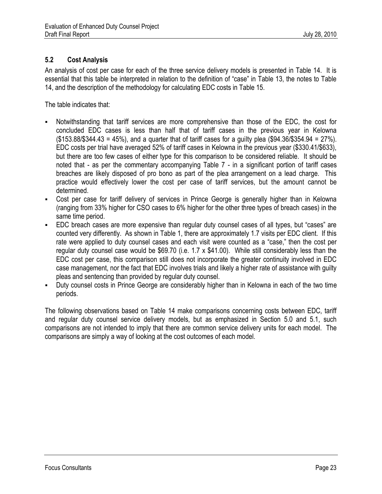## **5.2 Cost Analysis**

An analysis of cost per case for each of the three service delivery models is presented in Table 14. It is essential that this table be interpreted in relation to the definition of "case" in Table 13, the notes to Table 14, and the description of the methodology for calculating EDC costs in Table 15.

The table indicates that:

- Notwithstanding that tariff services are more comprehensive than those of the EDC, the cost for concluded EDC cases is less than half that of tariff cases in the previous year in Kelowna (\$153.88/\$344.43 = 45%), and a quarter that of tariff cases for a guilty plea (\$94.36/\$354.94 = 27%). EDC costs per trial have averaged 52% of tariff cases in Kelowna in the previous year (\$330.41/\$633), but there are too few cases of either type for this comparison to be considered reliable. It should be noted that - as per the commentary accompanying Table 7 - in a significant portion of tariff cases breaches are likely disposed of pro bono as part of the plea arrangement on a lead charge. This practice would effectively lower the cost per case of tariff services, but the amount cannot be determined.
- Cost per case for tariff delivery of services in Prince George is generally higher than in Kelowna (ranging from 33% higher for CSO cases to 6% higher for the other three types of breach cases) in the same time period.
- EDC breach cases are more expensive than regular duty counsel cases of all types, but "cases" are counted very differently. As shown in Table 1, there are approximately 1.7 visits per EDC client. If this rate were applied to duty counsel cases and each visit were counted as a "case," then the cost per regular duty counsel case would be \$69.70 (i.e. 1.7 x \$41.00). While still considerably less than the EDC cost per case, this comparison still does not incorporate the greater continuity involved in EDC case management, nor the fact that EDC involves trials and likely a higher rate of assistance with guilty pleas and sentencing than provided by regular duty counsel.
- Duty counsel costs in Prince George are considerably higher than in Kelowna in each of the two time periods.

The following observations based on Table 14 make comparisons concerning costs between EDC, tariff and regular duty counsel service delivery models, but as emphasized in Section 5.0 and 5.1, such comparisons are not intended to imply that there are common service delivery units for each model. The comparisons are simply a way of looking at the cost outcomes of each model.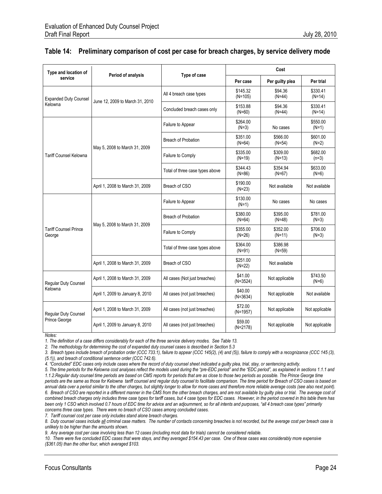| Type and location of                         | Period of analysis               | <b>Type of case</b>             | Cost                  |                      |                      |  |
|----------------------------------------------|----------------------------------|---------------------------------|-----------------------|----------------------|----------------------|--|
| service                                      |                                  |                                 | Per case              | Per guilty plea      | Per trial            |  |
| <b>Expanded Duty Counsel</b><br>Kelowna      |                                  | All 4 breach case types         | \$145.32<br>$(N=105)$ | \$94.36<br>$(N=44)$  | \$330.41<br>$(N=14)$ |  |
|                                              | June 12, 2009 to March 31, 2010  | Concluded breach cases only     | \$153.88<br>$(N=60)$  | \$94.36<br>$(N=44)$  | \$330.41<br>$(N=14)$ |  |
| <b>Tariff Counsel Kelowna</b>                | May 5, 2008 to March 31, 2009    | Failure to Appear               | \$264.00<br>$(N=3)$   | No cases             | \$550.00<br>$(N=1)$  |  |
|                                              |                                  | <b>Breach of Probation</b>      | \$351.00<br>$(N=64)$  | \$566.00<br>$(N=54)$ | \$601.00<br>$(N=2)$  |  |
|                                              |                                  | Failure to Comply               | \$335.00<br>$(N=19)$  | \$309.00<br>$(N=13)$ | \$682.00<br>$(n=3)$  |  |
|                                              |                                  | Total of three case types above | \$344.43<br>$(N=86)$  | \$354.94<br>$(N=67)$ | \$633.00<br>$(N=6)$  |  |
|                                              | April 1, 2008 to March 31, 2009  | Breach of CSO                   | \$190.00<br>$(N=23)$  | Not available        | Not available        |  |
| <b>Tariff Counsel Prince</b><br>George       | May 5, 2008 to March 31, 2009    | Failure to Appear               | \$130.00<br>$(N=1)$   | No cases             | No cases             |  |
|                                              |                                  | <b>Breach of Probation</b>      | \$380.00<br>$(N=64)$  | \$395.00<br>$(N=48)$ | \$781.00<br>$(N=3)$  |  |
|                                              |                                  | Failure to Comply               | \$355.00<br>$(N=26)$  | \$352.00<br>$(N=11)$ | \$706.00<br>$(N=3)$  |  |
|                                              |                                  | Total of three case types above | \$364.00<br>$(N=91)$  | \$386.98<br>$(N=59)$ |                      |  |
|                                              | April 1, 2008 to March 31, 2009  | Breach of CSO                   | \$251.00<br>$(N=22)$  | Not available        |                      |  |
| Regular Duty Counsel<br>Kelowna              | April 1, 2008 to March 31, 2009  | All cases (Not just breaches)   | \$41.00<br>$(N=3524)$ | Not applicable       | \$743.50<br>$(N=6)$  |  |
|                                              | April 1, 2009 to January 8, 2010 | All cases (not just breaches)   | \$40.00<br>$(N=3634)$ | Not applicable       | Not available        |  |
| <b>Reqular Duty Counsel</b><br>Prince George | April 1, 2008 to March 31, 2009  | All cases (not just breaches)   | \$72.00<br>$(N=1957)$ | Not applicable       | Not applicable       |  |
|                                              | April 1, 2009 to January 8, 2010 | All cases (not just breaches)   | \$59.00<br>$(N=2178)$ | Not applicable       | Not applicable       |  |

#### **Table 14: Preliminary comparison of cost per case for breach charges, by service delivery mode**

*Notes:*

*1. The definition of a case differs considerably for each of the three service delivery modes. See Table 13.*

*2. The methodology for determining the cost of expanded duty counsel cases is described in Section 5.3*

*3. Breach types include breach of probation order (CCC 733.1), failure to appear (CCC 145(2), (4) and (5)), failure to comply with a recognizance (CCC 145 (3),* 

*(5.1)), and breach of conditional sentence order (CCC 742.6).*

A. "Concluded" EDC cases only include cases where the record of duty counsel sheet indicated a guilty plea, trial, stay, or sentencing activity.

*5. The time periods for the Kelowna cost analyses reflect the models used during the "pre-EDC period" and the "EDC period", as explained in sections 1.1.1 and 1.1.2.Regular duty counsel time periods are based on CMS reports for periods that are as close to those two periods as possible. The Prince George time* 

*periods are the same as those for Kelowna tariff counsel and regular duty counsel to facilitate comparison. The time period for Breach of CSO cases is based on annual data over a period similar to the other charges, but slightly longer to allow for more cases and therefore more reliable average costs (see also next point).* 6. Breach of CSO are reported in a different manner in the CMS from the other breach charges, and are not available by guilty plea or trial. The average cost of *combined breach charges only includes three case types for tariff cases, but 4 case types for EDC cases. However, in the period covered in this table there has*  been only 1 CSO which involved 0.7 hours of EDC time for advice and an adjournment, so for all intents and purposes, "all 4 breach case types" primarily *concerns three case types. There were no breach of CSO cases among concluded cases.*

*7. Tariff counsel cost per case only includes stand alone breach charges.*

*8. Duty counsel cases include all criminal case matters. The number of contacts concerning breaches is not recorded, but the average cost per breach case is unlikely to be higher than the amounts shown.*

*9. Any average cost per case involving less than 12 cases (including most data for trials) cannot be considered reliable.*

*10. There were five concluded EDC cases that were stays, and they averaged \$154.43 per case. One of these cases was considerably more expensive (\$361.05) than the other four, which averaged \$103.*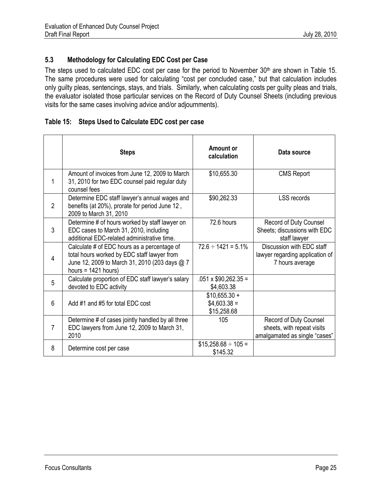## **5.3 Methodology for Calculating EDC Cost per Case**

The steps used to calculated EDC cost per case for the period to November 30<sup>th</sup> are shown in Table 15. The same procedures were used for calculating "cost per concluded case," but that calculation includes only guilty pleas, sentencings, stays, and trials. Similarly, when calculating costs per guilty pleas and trials, the evaluator isolated those particular services on the Record of Duty Counsel Sheets (including previous visits for the same cases involving advice and/or adjournments).

## **Table 15: Steps Used to Calculate EDC cost per case**

|                | <b>Steps</b>                                                                                                                                                         | Amount or<br>calculation                       | Data source                                                                           |
|----------------|----------------------------------------------------------------------------------------------------------------------------------------------------------------------|------------------------------------------------|---------------------------------------------------------------------------------------|
| 1              | Amount of invoices from June 12, 2009 to March<br>31, 2010 for two EDC counsel paid regular duty<br>counsel fees                                                     | \$10,655.30                                    | <b>CMS Report</b>                                                                     |
| $\overline{2}$ | Determine EDC staff lawyer's annual wages and<br>benefits (at 20%), prorate for period June 12,<br>2009 to March 31, 2010                                            | \$90,262.33                                    | <b>LSS records</b>                                                                    |
| 3              | Determine # of hours worked by staff lawyer on<br>EDC cases to March 31, 2010, including<br>additional EDC-related administrative time.                              | 72.6 hours                                     | Record of Duty Counsel<br>Sheets; discussions with EDC<br>staff lawyer                |
| 4              | Calculate # of EDC hours as a percentage of<br>total hours worked by EDC staff lawyer from<br>June 12, 2009 to March 31, 2010 (203 days @ 7<br>hours = $1421$ hours) | $72.6 \div 1421 = 5.1\%$                       | Discussion with EDC staff<br>lawyer regarding application of<br>7 hours average       |
| 5              | Calculate proportion of EDC staff lawyer's salary<br>devoted to EDC activity                                                                                         | $.051 \times $90,262.35 =$<br>\$4,603.38       |                                                                                       |
| 6              | Add #1 and #5 for total EDC cost                                                                                                                                     | $$10,655.30 +$<br>$$4,603.38 =$<br>\$15,258.68 |                                                                                       |
| 7              | Determine # of cases jointly handled by all three<br>EDC lawyers from June 12, 2009 to March 31,<br>2010                                                             | 105                                            | Record of Duty Counsel<br>sheets, with repeat visits<br>amalgamated as single "cases" |
| 8              | Determine cost per case                                                                                                                                              | $$15,258.68 \div 105 =$<br>\$145.32            |                                                                                       |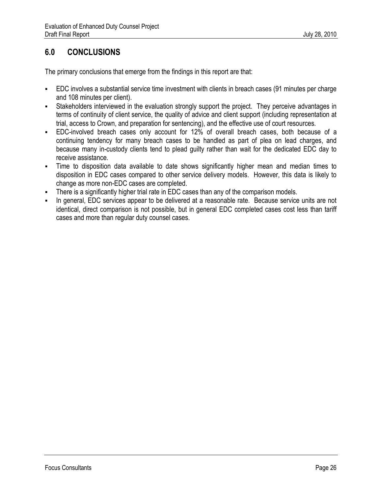## **6.0 CONCLUSIONS**

The primary conclusions that emerge from the findings in this report are that:

- EDC involves a substantial service time investment with clients in breach cases (91 minutes per charge and 108 minutes per client).
- Stakeholders interviewed in the evaluation strongly support the project. They perceive advantages in terms of continuity of client service, the quality of advice and client support (including representation at trial, access to Crown, and preparation for sentencing), and the effective use of court resources.
- EDC-involved breach cases only account for 12% of overall breach cases, both because of a continuing tendency for many breach cases to be handled as part of plea on lead charges, and because many in-custody clients tend to plead guilty rather than wait for the dedicated EDC day to receive assistance.
- Time to disposition data available to date shows significantly higher mean and median times to disposition in EDC cases compared to other service delivery models. However, this data is likely to change as more non-EDC cases are completed.
- There is a significantly higher trial rate in EDC cases than any of the comparison models.
- In general, EDC services appear to be delivered at a reasonable rate. Because service units are not identical, direct comparison is not possible, but in general EDC completed cases cost less than tariff cases and more than regular duty counsel cases.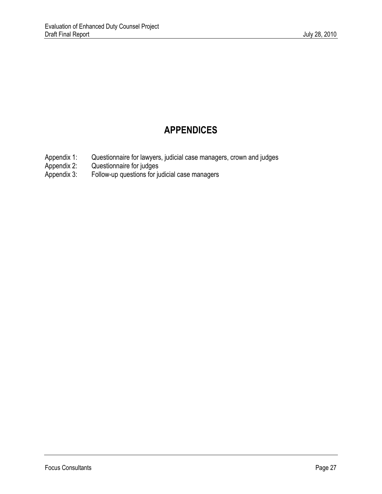# **APPENDICES**

- Appendix 1: Questionnaire for lawyers, judicial case managers, crown and judges Appendix 2: Questionnaire for judges
- Appendix 2: Questionnaire for judges<br>Appendix 3: Follow-up questions for ju
- Follow-up questions for judicial case managers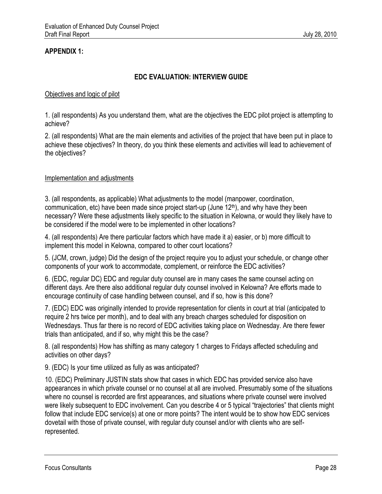## **APPENDIX 1:**

## **EDC EVALUATION: INTERVIEW GUIDE**

#### Objectives and logic of pilot

1. (all respondents) As you understand them, what are the objectives the EDC pilot project is attempting to achieve?

2. (all respondents) What are the main elements and activities of the project that have been put in place to achieve these objectives? In theory, do you think these elements and activities will lead to achievement of the objectives?

#### Implementation and adjustments

3. (all respondents, as applicable) What adjustments to the model (manpower, coordination, communication, etc) have been made since project start-up (June 12th), and why have they been necessary? Were these adjustments likely specific to the situation in Kelowna, or would they likely have to be considered if the model were to be implemented in other locations?

4. (all respondents) Are there particular factors which have made it a) easier, or b) more difficult to implement this model in Kelowna, compared to other court locations?

5. (JCM, crown, judge) Did the design of the project require you to adjust your schedule, or change other components of your work to accommodate, complement, or reinforce the EDC activities?

6. (EDC, regular DC) EDC and regular duty counsel are in many cases the same counsel acting on different days. Are there also additional regular duty counsel involved in Kelowna? Are efforts made to encourage continuity of case handling between counsel, and if so, how is this done?

7. (EDC) EDC was originally intended to provide representation for clients in court at trial (anticipated to require 2 hrs twice per month), and to deal with any breach charges scheduled for disposition on Wednesdays. Thus far there is no record of EDC activities taking place on Wednesday. Are there fewer trials than anticipated, and if so, why might this be the case?

8. (all respondents) How has shifting as many category 1 charges to Fridays affected scheduling and activities on other days?

9. (EDC) Is your time utilized as fully as was anticipated?

10. (EDC) Preliminary JUSTIN stats show that cases in which EDC has provided service also have appearances in which private counsel or no counsel at all are involved. Presumably some of the situations where no counsel is recorded are first appearances, and situations where private counsel were involved were likely subsequent to EDC involvement. Can you describe 4 or 5 typical "trajectories" that clients might follow that include EDC service(s) at one or more points? The intent would be to show how EDC services dovetail with those of private counsel, with regular duty counsel and/or with clients who are selfrepresented.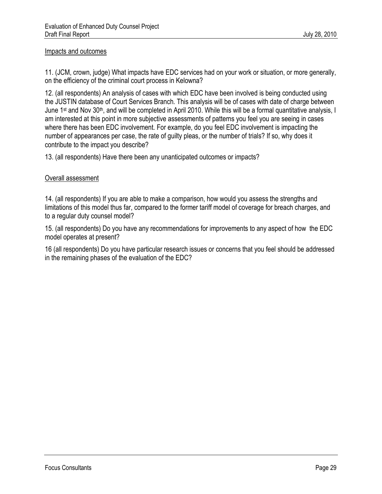#### Impacts and outcomes

11. (JCM, crown, judge) What impacts have EDC services had on your work or situation, or more generally, on the efficiency of the criminal court process in Kelowna?

12. (all respondents) An analysis of cases with which EDC have been involved is being conducted using the JUSTIN database of Court Services Branch. This analysis will be of cases with date of charge between June 1<sup>st</sup> and Nov 30<sup>th</sup>, and will be completed in April 2010. While this will be a formal quantitative analysis, I am interested at this point in more subjective assessments of patterns you feel you are seeing in cases where there has been EDC involvement. For example, do you feel EDC involvement is impacting the number of appearances per case, the rate of guilty pleas, or the number of trials? If so, why does it contribute to the impact you describe?

13. (all respondents) Have there been any unanticipated outcomes or impacts?

#### Overall assessment

14. (all respondents) If you are able to make a comparison, how would you assess the strengths and limitations of this model thus far, compared to the former tariff model of coverage for breach charges, and to a regular duty counsel model?

15. (all respondents) Do you have any recommendations for improvements to any aspect of how the EDC model operates at present?

16 (all respondents) Do you have particular research issues or concerns that you feel should be addressed in the remaining phases of the evaluation of the EDC?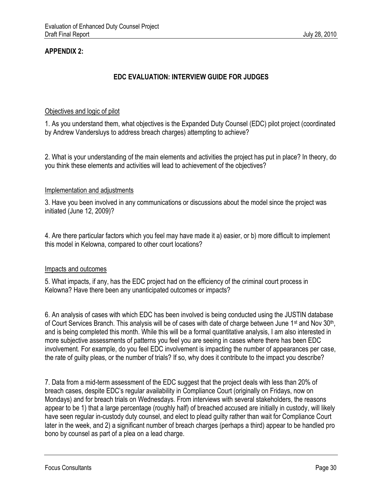## **APPENDIX 2:**

## **EDC EVALUATION: INTERVIEW GUIDE FOR JUDGES**

#### Objectives and logic of pilot

1. As you understand them, what objectives is the Expanded Duty Counsel (EDC) pilot project (coordinated by Andrew Vandersluys to address breach charges) attempting to achieve?

2. What is your understanding of the main elements and activities the project has put in place? In theory, do you think these elements and activities will lead to achievement of the objectives?

#### Implementation and adjustments

3. Have you been involved in any communications or discussions about the model since the project was initiated (June 12, 2009)?

4. Are there particular factors which you feel may have made it a) easier, or b) more difficult to implement this model in Kelowna, compared to other court locations?

## Impacts and outcomes

5. What impacts, if any, has the EDC project had on the efficiency of the criminal court process in Kelowna? Have there been any unanticipated outcomes or impacts?

6. An analysis of cases with which EDC has been involved is being conducted using the JUSTIN database of Court Services Branch. This analysis will be of cases with date of charge between June 1<sup>st</sup> and Nov 30<sup>th</sup>, and is being completed this month. While this will be a formal quantitative analysis, I am also interested in more subjective assessments of patterns you feel you are seeing in cases where there has been EDC involvement. For example, do you feel EDC involvement is impacting the number of appearances per case, the rate of guilty pleas, or the number of trials? If so, why does it contribute to the impact you describe?

7. Data from a mid-term assessment of the EDC suggest that the project deals with less than 20% of breach cases, despite EDC's regular availability in Compliance Court (originally on Fridays, now on Mondays) and for breach trials on Wednesdays. From interviews with several stakeholders, the reasons appear to be 1) that a large percentage (roughly half) of breached accused are initially in custody, will likely have seen regular in-custody duty counsel, and elect to plead guilty rather than wait for Compliance Court later in the week, and 2) a significant number of breach charges (perhaps a third) appear to be handled pro bono by counsel as part of a plea on a lead charge.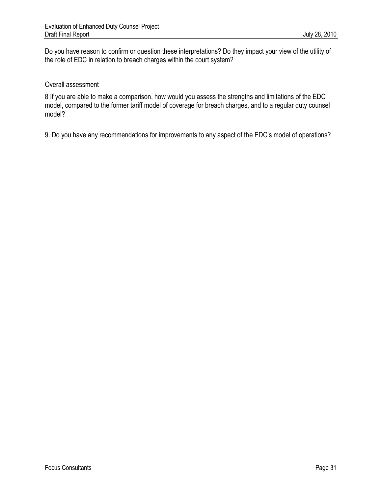Do you have reason to confirm or question these interpretations? Do they impact your view of the utility of the role of EDC in relation to breach charges within the court system?

#### Overall assessment

8 If you are able to make a comparison, how would you assess the strengths and limitations of the EDC model, compared to the former tariff model of coverage for breach charges, and to a regular duty counsel model?

9. Do you have any recommendations for improvements to any aspect of the EDC's model of operations?